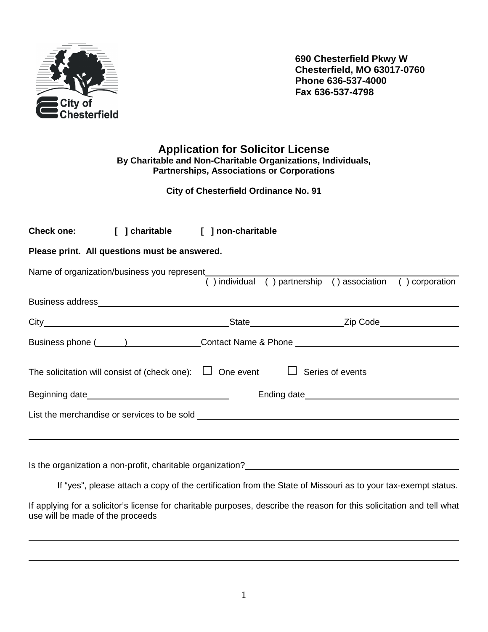

 $\overline{a}$ 

 $\overline{a}$ 

**690 Chesterfield Pkwy W Chesterfield, MO 63017-0760 Phone 636-537-4000 Fax 636-537-4798** 

**Application for Solicitor License By Charitable and Non-Charitable Organizations, Individuals, Partnerships, Associations or Corporations** 

 **City of Chesterfield Ordinance No. 91** 

|                                               | Check one: [ ] charitable [ ] non-charitable                                                               |  |                                                            |  |  |  |  |  |
|-----------------------------------------------|------------------------------------------------------------------------------------------------------------|--|------------------------------------------------------------|--|--|--|--|--|
| Please print. All questions must be answered. |                                                                                                            |  |                                                            |  |  |  |  |  |
|                                               | Name of organization/business you represent (1) individual (1) partnership (2) association (2) corporation |  |                                                            |  |  |  |  |  |
|                                               |                                                                                                            |  |                                                            |  |  |  |  |  |
|                                               |                                                                                                            |  | _State_________________________Zip Code___________________ |  |  |  |  |  |
|                                               |                                                                                                            |  |                                                            |  |  |  |  |  |
|                                               | The solicitation will consist of (check one): $\Box$ One event $\Box$ Series of events                     |  |                                                            |  |  |  |  |  |
|                                               |                                                                                                            |  |                                                            |  |  |  |  |  |
|                                               |                                                                                                            |  |                                                            |  |  |  |  |  |
|                                               |                                                                                                            |  |                                                            |  |  |  |  |  |
|                                               |                                                                                                            |  |                                                            |  |  |  |  |  |

Is the organization a non-profit, charitable organization?

If "yes", please attach a copy of the certification from the State of Missouri as to your tax-exempt status.

If applying for a solicitor's license for charitable purposes, describe the reason for this solicitation and tell what use will be made of the proceeds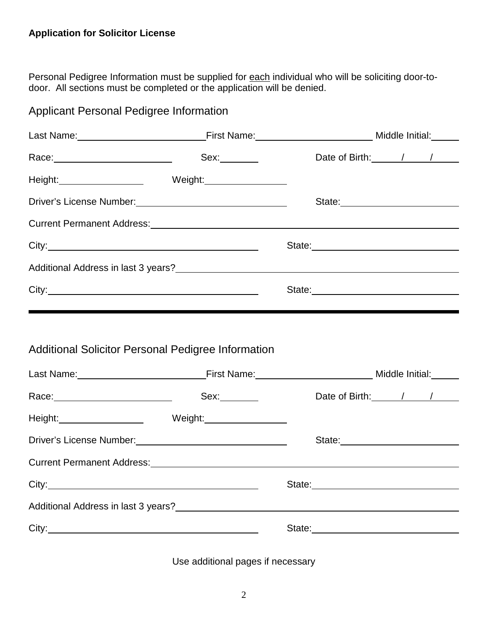## **Application for Solicitor License**

Personal Pedigree Information must be supplied for each individual who will be soliciting door-todoor. All sections must be completed or the application will be denied.

| <b>Applicant Personal Pedigree Information</b>                                                                 |                                                                                                  |                                                                                                                                                                                                                                |
|----------------------------------------------------------------------------------------------------------------|--------------------------------------------------------------------------------------------------|--------------------------------------------------------------------------------------------------------------------------------------------------------------------------------------------------------------------------------|
|                                                                                                                |                                                                                                  |                                                                                                                                                                                                                                |
|                                                                                                                |                                                                                                  | Date of Birth: / /                                                                                                                                                                                                             |
|                                                                                                                |                                                                                                  |                                                                                                                                                                                                                                |
|                                                                                                                |                                                                                                  | State:                                                                                                                                                                                                                         |
|                                                                                                                |                                                                                                  |                                                                                                                                                                                                                                |
|                                                                                                                |                                                                                                  |                                                                                                                                                                                                                                |
|                                                                                                                |                                                                                                  |                                                                                                                                                                                                                                |
|                                                                                                                |                                                                                                  |                                                                                                                                                                                                                                |
|                                                                                                                |                                                                                                  |                                                                                                                                                                                                                                |
|                                                                                                                | <b>Additional Solicitor Personal Pedigree Information</b>                                        |                                                                                                                                                                                                                                |
| Race: 2008. 2009. 2010. 2010. 2010. 2010. 2010. 2011. 2012. 2012. 2012. 2012. 2014. 2014. 2014. 2014. 2014. 20 | Last Name: Middle Initial: Manne: Manne: Middle Initial: Middle Initial: Middle Initial:<br>Sex: | Date of Birth: / / /                                                                                                                                                                                                           |
|                                                                                                                |                                                                                                  |                                                                                                                                                                                                                                |
|                                                                                                                |                                                                                                  | State: <u>_________________________________</u>                                                                                                                                                                                |
|                                                                                                                | Current Permanent Address:<br><u>Current Permanent Address:</u>                                  |                                                                                                                                                                                                                                |
|                                                                                                                |                                                                                                  | State: State: State: State: State: State: State: State: State: State: State: State: State: State: State: State: State: State: State: State: State: State: State: State: State: State: State: State: State: State: State: State |
|                                                                                                                |                                                                                                  |                                                                                                                                                                                                                                |

Use additional pages if necessary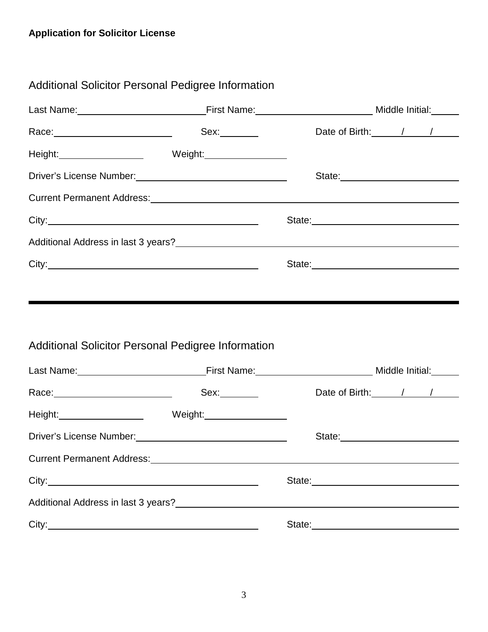| Additional Solicitor Personal Pedigree Information                                                                                                                                                                             |                                                                                                                             |
|--------------------------------------------------------------------------------------------------------------------------------------------------------------------------------------------------------------------------------|-----------------------------------------------------------------------------------------------------------------------------|
|                                                                                                                                                                                                                                | Last Name: Middle Initial: Manne: Manne: Middle Initial: Middle Initial: Museum Middle Initial: Museum Middle               |
| Race: 2008 2010 2021 2022 2023 2024 2022 2022 2023 2024 2022 2023 2024 2022 2023 2024 2025 2026 2027 2028 2022                                                                                                                 | Date of Birth: 1 / /                                                                                                        |
| Height: Meight: Neight: Neight: Neight: Neight: Neight: Neight: Neight: Neight: Neight: Neight: Neight: Neight: Neight: Neight: Neight: Neight: Neight: Neight: Neight: Neight: Neight: Neight: Neight: Neight: Neight: Neight |                                                                                                                             |
|                                                                                                                                                                                                                                | State: <u>________________________</u>                                                                                      |
|                                                                                                                                                                                                                                |                                                                                                                             |
|                                                                                                                                                                                                                                | State: <u>with the state of the state of the state of</u>                                                                   |
|                                                                                                                                                                                                                                |                                                                                                                             |
|                                                                                                                                                                                                                                |                                                                                                                             |
|                                                                                                                                                                                                                                |                                                                                                                             |
|                                                                                                                                                                                                                                |                                                                                                                             |
|                                                                                                                                                                                                                                |                                                                                                                             |
| <b>Additional Solicitor Personal Pedigree Information</b>                                                                                                                                                                      |                                                                                                                             |
|                                                                                                                                                                                                                                | Last Name: Mome and Manual Communication of First Name: Microsoft Communication of Middle Initial: Middle Initial:          |
|                                                                                                                                                                                                                                | Date of Birth: / / /                                                                                                        |
| Height: Meight: Neight: Neight: Neight: Neight: Neight: Neight: Neight: Neight: Neight: Neight: Neight: Neight: Neight: Neight: Neight: Neight: Neight: Neight: Neight: Neight: Neight: Neight: Neight: Neight: Neight: Neight |                                                                                                                             |
|                                                                                                                                                                                                                                |                                                                                                                             |
|                                                                                                                                                                                                                                | Current Permanent Address:<br>Current Permanent Address:                                                                    |
|                                                                                                                                                                                                                                |                                                                                                                             |
|                                                                                                                                                                                                                                | Additional Address in last 3 years?<br><u> and the manufacture of the manufacture of the manufacture of the manufacture</u> |
|                                                                                                                                                                                                                                |                                                                                                                             |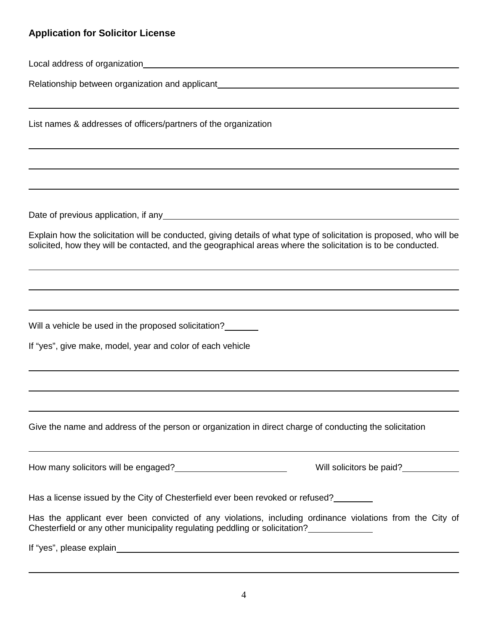## **Application for Solicitor License**

Local address of organization

L

 $\overline{\phantom{a}}$ 

 $\overline{a}$ 

L

 $\overline{a}$ 

 $\overline{a}$ 

Relationship between organization and applicant

List names & addresses of officers/partners of the organization

Date of previous application, if any solution of the state of previous application, if any solution

Explain how the solicitation will be conducted, giving details of what type of solicitation is proposed, who will be solicited, how they will be contacted, and the geographical areas where the solicitation is to be conducted.

Will a vehicle be used in the proposed solicitation?

If "yes", give make, model, year and color of each vehicle

Give the name and address of the person or organization in direct charge of conducting the solicitation

How many solicitors will be engaged? Noting the solid of the UVIII solicitors be paid?

Has a license issued by the City of Chesterfield ever been revoked or refused?

Has the applicant ever been convicted of any violations, including ordinance violations from the City of Chesterfield or any other municipality regulating peddling or solicitation?

If "yes", please explain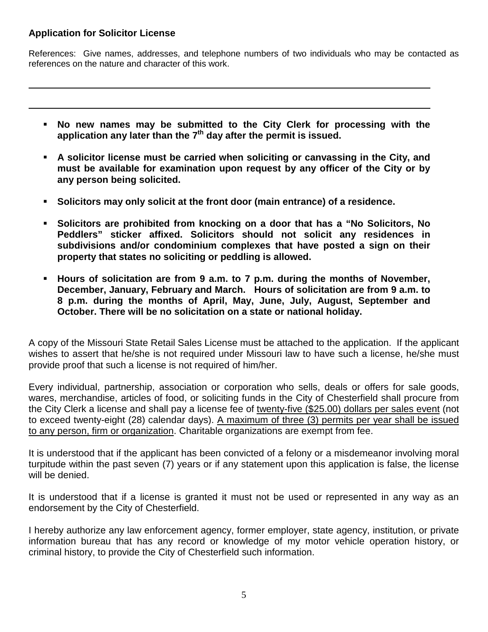## **Application for Solicitor License**

 $\overline{a}$ 

 $\overline{a}$ 

References: Give names, addresses, and telephone numbers of two individuals who may be contacted as references on the nature and character of this work.

- **No new names may be submitted to the City Clerk for processing with the application any later than the 7th day after the permit is issued.**
- **A solicitor license must be carried when soliciting or canvassing in the City, and must be available for examination upon request by any officer of the City or by any person being solicited.**
- **Solicitors may only solicit at the front door (main entrance) of a residence.**
- **Solicitors are prohibited from knocking on a door that has a "No Solicitors, No Peddlers" sticker affixed. Solicitors should not solicit any residences in subdivisions and/or condominium complexes that have posted a sign on their property that states no soliciting or peddling is allowed.**
- **Hours of solicitation are from 9 a.m. to 7 p.m. during the months of November, December, January, February and March. Hours of solicitation are from 9 a.m. to 8 p.m. during the months of April, May, June, July, August, September and October. There will be no solicitation on a state or national holiday.**

A copy of the Missouri State Retail Sales License must be attached to the application. If the applicant wishes to assert that he/she is not required under Missouri law to have such a license, he/she must provide proof that such a license is not required of him/her.

Every individual, partnership, association or corporation who sells, deals or offers for sale goods, wares, merchandise, articles of food, or soliciting funds in the City of Chesterfield shall procure from the City Clerk a license and shall pay a license fee of twenty-five (\$25.00) dollars per sales event (not to exceed twenty-eight (28) calendar days). A maximum of three (3) permits per year shall be issued to any person, firm or organization. Charitable organizations are exempt from fee.

It is understood that if the applicant has been convicted of a felony or a misdemeanor involving moral turpitude within the past seven (7) years or if any statement upon this application is false, the license will be denied.

It is understood that if a license is granted it must not be used or represented in any way as an endorsement by the City of Chesterfield.

I hereby authorize any law enforcement agency, former employer, state agency, institution, or private information bureau that has any record or knowledge of my motor vehicle operation history, or criminal history, to provide the City of Chesterfield such information.